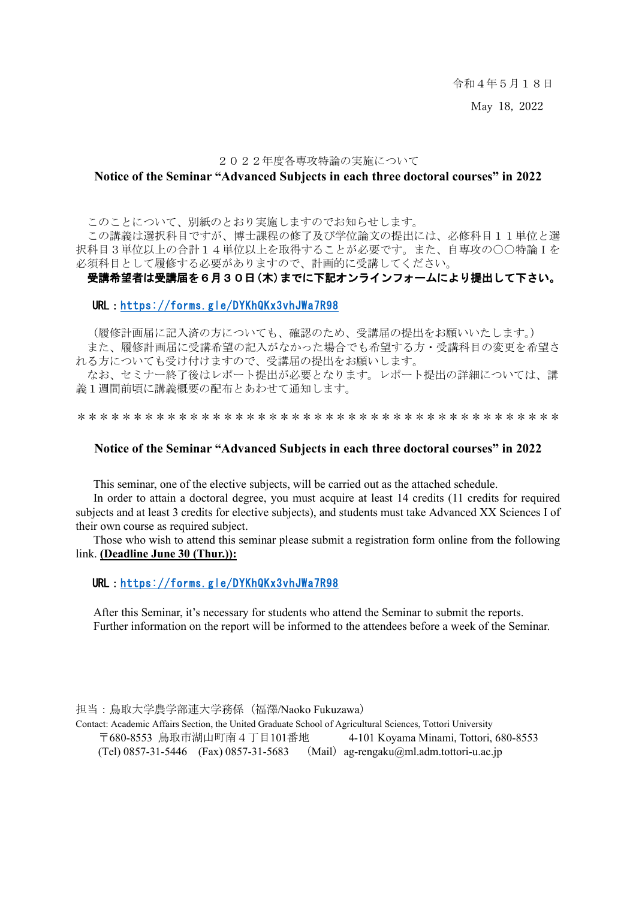令和4年5月18日

May 18, 2022

#### 2022年度各専攻特論の実施について

#### **Notice of the Seminar "Advanced Subjects in each three doctoral courses" in 2022**

このことについて、別紙のとおり実施しますのでお知らせします。

この講義は選択科目ですが、博士課程の修了及び学位論文の提出には、必修科目11単位と選 択科目3単位以上の合計14単位以上を取得することが必要です。また、自専攻の○○特論Iを 必須科目として履修する必要がありますので、計画的に受講してください。

### 受講希望者は受講届を6月30日(木)までに下記オンラインフォームにより提出して下さい。

#### URL:<https://forms.gle/DYKhQKx3vhJWa7R98>

(履修計画届に記入済の方についても、確認のため、受講届の提出をお願いいたします。)

また、履修計画届に受講希望の記入がなかった場合でも希望する方・受講科目の変更を希望さ れる方についても受け付けますので、受講届の提出をお願いします。

なお、セミナー終了後はレポート提出が必要となります。レポート提出の詳細については、講 義1週間前頃に講義概要の配布とあわせて通知します。

\*\*\*\*\*\*\*\*\*\*\*\*\*\*\*\*\*\*\*\*\*\*\*\*\*\*\*\*\*\*\*\*\*\*\*\*\*\*\*\*\*\*\*

#### **Notice of the Seminar "Advanced Subjects in each three doctoral courses" in 2022**

This seminar, one of the elective subjects, will be carried out as the attached schedule.

In order to attain a doctoral degree, you must acquire at least 14 credits (11 credits for required subjects and at least 3 credits for elective subjects), and students must take Advanced XX Sciences I of their own course as required subject.

Those who wish to attend this seminar please submit a registration form online from the following link. **(Deadline June 30 (Thur.)):** 

#### URL:<https://forms.gle/DYKhQKx3vhJWa7R98>

After this Seminar, it's necessary for students who attend the Seminar to submit the reports. Further information on the report will be informed to the attendees before a week of the Seminar.

担当:鳥取大学農学部連大学務係(福澤/Naoko Fukuzawa) Contact: Academic Affairs Section, the United Graduate School of Agricultural Sciences, Tottori University 〒680-8553 鳥取市湖山町南4丁目101番地 4-101 Koyama Minami, Tottori, 680-8553 (Tel)  $0857-31-5446$  (Fax)  $0857-31-5683$  (Mail) ag-rengaku@ml.adm.tottori-u.ac.jp